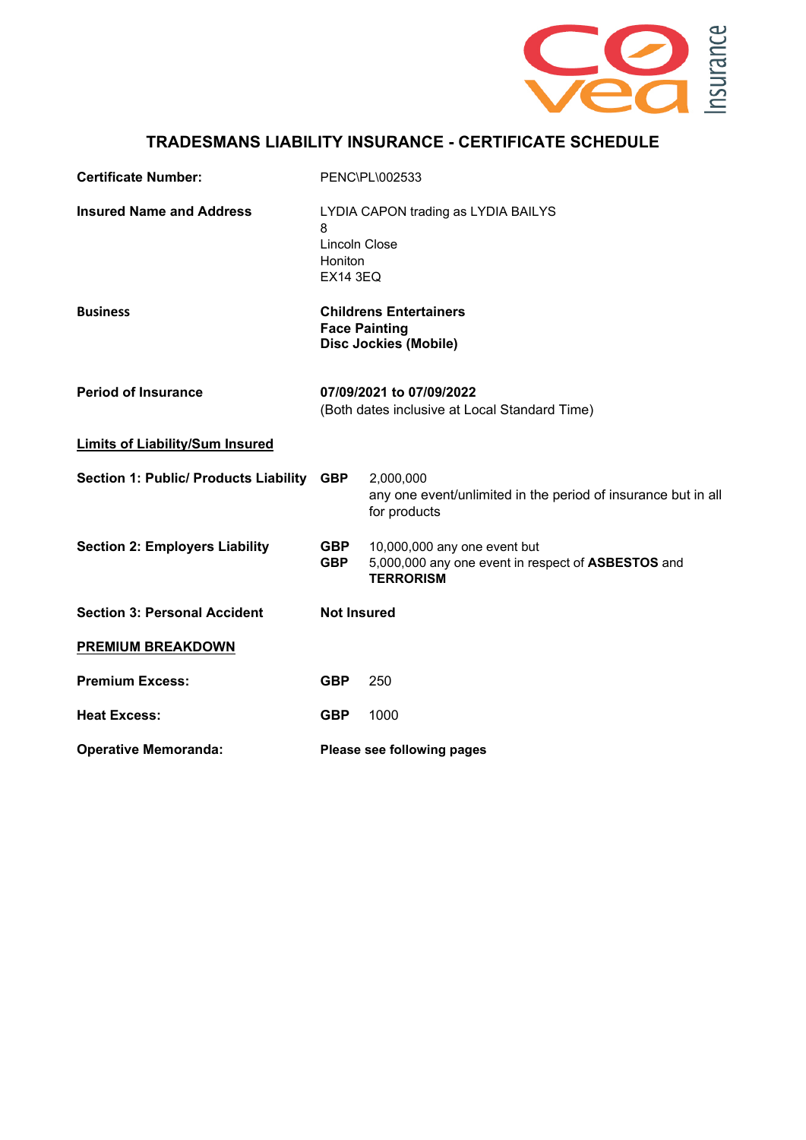

## **TRADESMANS LIABILITY INSURANCE - CERTIFICATE SCHEDULE**

| <b>Certificate Number:</b>                   | PENC\PL\002533                                                                                 |                                                                                                        |
|----------------------------------------------|------------------------------------------------------------------------------------------------|--------------------------------------------------------------------------------------------------------|
| <b>Insured Name and Address</b>              | LYDIA CAPON trading as LYDIA BAILYS<br>8<br><b>Lincoln Close</b><br>Honiton<br><b>EX14 3EQ</b> |                                                                                                        |
| <b>Business</b>                              | <b>Childrens Entertainers</b><br><b>Face Painting</b><br><b>Disc Jockies (Mobile)</b>          |                                                                                                        |
| <b>Period of Insurance</b>                   | 07/09/2021 to 07/09/2022<br>(Both dates inclusive at Local Standard Time)                      |                                                                                                        |
| <b>Limits of Liability/Sum Insured</b>       |                                                                                                |                                                                                                        |
| <b>Section 1: Public/ Products Liability</b> | <b>GBP</b>                                                                                     | 2,000,000<br>any one event/unlimited in the period of insurance but in all<br>for products             |
| <b>Section 2: Employers Liability</b>        | <b>GBP</b><br><b>GBP</b>                                                                       | 10,000,000 any one event but<br>5,000,000 any one event in respect of ASBESTOS and<br><b>TERRORISM</b> |
| <b>Section 3: Personal Accident</b>          | <b>Not Insured</b>                                                                             |                                                                                                        |
| <b>PREMIUM BREAKDOWN</b>                     |                                                                                                |                                                                                                        |
| <b>Premium Excess:</b>                       | <b>GBP</b>                                                                                     | 250                                                                                                    |
| <b>Heat Excess:</b>                          | <b>GBP</b>                                                                                     | 1000                                                                                                   |
| <b>Operative Memoranda:</b>                  | Please see following pages                                                                     |                                                                                                        |